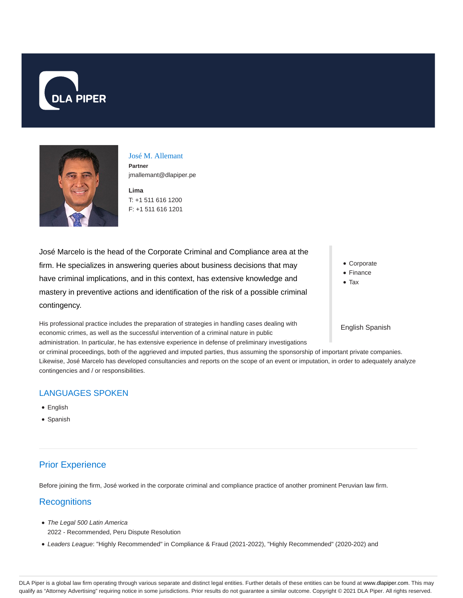



José M. Allemant **Partner** jmallemant@dlapiper.pe

**Lima** T: +1 511 616 1200 F: +1 511 616 1201

José Marcelo is the head of the Corporate Criminal and Compliance area at the firm. He specializes in answering queries about business decisions that may have criminal implications, and in this context, has extensive knowledge and mastery in preventive actions and identification of the risk of a possible criminal contingency.

His professional practice includes the preparation of strategies in handling cases dealing with economic crimes, as well as the successful intervention of a criminal nature in public

• Corporate

• Finance

• Tax

#### English Spanish

administration. In particular, he has extensive experience in defense of preliminary investigations or criminal proceedings, both of the aggrieved and imputed parties, thus assuming the sponsorship of important private companies. Likewise, José Marcelo has developed consultancies and reports on the scope of an event or imputation, in order to adequately analyze contingencies and / or responsibilities.

### LANGUAGES SPOKEN

- English
- Spanish

# Prior Experience

Before joining the firm, José worked in the corporate criminal and compliance practice of another prominent Peruvian law firm.

### **Recognitions**

- The Legal 500 Latin America 2022 - Recommended, Peru Dispute Resolution
- Leaders League: "Highly Recommended" in Compliance & Fraud (2021-2022), "Highly Recommended" (2020-202) and

DLA Piper is a global law firm operating through various separate and distinct legal entities. Further details of these entities can be found at www.dlapiper.com. This may qualify as "Attorney Advertising" requiring notice in some jurisdictions. Prior results do not guarantee a similar outcome. Copyright @ 2021 DLA Piper. All rights reserved.